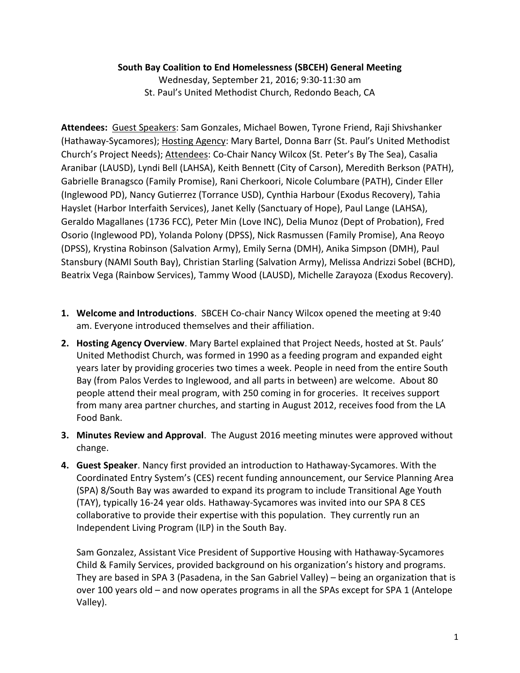## **South Bay Coalition to End Homelessness (SBCEH) General Meeting**

Wednesday, September 21, 2016; 9:30-11:30 am St. Paul's United Methodist Church, Redondo Beach, CA

**Attendees:** Guest Speakers: Sam Gonzales, Michael Bowen, Tyrone Friend, Raji Shivshanker (Hathaway-Sycamores); Hosting Agency: Mary Bartel, Donna Barr (St. Paul's United Methodist Church's Project Needs); Attendees: Co-Chair Nancy Wilcox (St. Peter's By The Sea), Casalia Aranibar (LAUSD), Lyndi Bell (LAHSA), Keith Bennett (City of Carson), Meredith Berkson (PATH), Gabrielle Branagsco (Family Promise), Rani Cherkoori, Nicole Columbare (PATH), Cinder Eller (Inglewood PD), Nancy Gutierrez (Torrance USD), Cynthia Harbour (Exodus Recovery), Tahia Hayslet (Harbor Interfaith Services), Janet Kelly (Sanctuary of Hope), Paul Lange (LAHSA), Geraldo Magallanes (1736 FCC), Peter Min (Love INC), Delia Munoz (Dept of Probation), Fred Osorio (Inglewood PD), Yolanda Polony (DPSS), Nick Rasmussen (Family Promise), Ana Reoyo (DPSS), Krystina Robinson (Salvation Army), Emily Serna (DMH), Anika Simpson (DMH), Paul Stansbury (NAMI South Bay), Christian Starling (Salvation Army), Melissa Andrizzi Sobel (BCHD), Beatrix Vega (Rainbow Services), Tammy Wood (LAUSD), Michelle Zarayoza (Exodus Recovery).

- **1. Welcome and Introductions**. SBCEH Co-chair Nancy Wilcox opened the meeting at 9:40 am. Everyone introduced themselves and their affiliation.
- **2. Hosting Agency Overview**. Mary Bartel explained that Project Needs, hosted at St. Pauls' United Methodist Church, was formed in 1990 as a feeding program and expanded eight years later by providing groceries two times a week. People in need from the entire South Bay (from Palos Verdes to Inglewood, and all parts in between) are welcome. About 80 people attend their meal program, with 250 coming in for groceries. It receives support from many area partner churches, and starting in August 2012, receives food from the LA Food Bank.
- **3. Minutes Review and Approval**. The August 2016 meeting minutes were approved without change.
- **4. Guest Speaker**. Nancy first provided an introduction to Hathaway-Sycamores. With the Coordinated Entry System's (CES) recent funding announcement, our Service Planning Area (SPA) 8/South Bay was awarded to expand its program to include Transitional Age Youth (TAY), typically 16-24 year olds. Hathaway-Sycamores was invited into our SPA 8 CES collaborative to provide their expertise with this population. They currently run an Independent Living Program (ILP) in the South Bay.

Sam Gonzalez, Assistant Vice President of Supportive Housing with Hathaway-Sycamores Child & Family Services, provided background on his organization's history and programs. They are based in SPA 3 (Pasadena, in the San Gabriel Valley) – being an organization that is over 100 years old – and now operates programs in all the SPAs except for SPA 1 (Antelope Valley).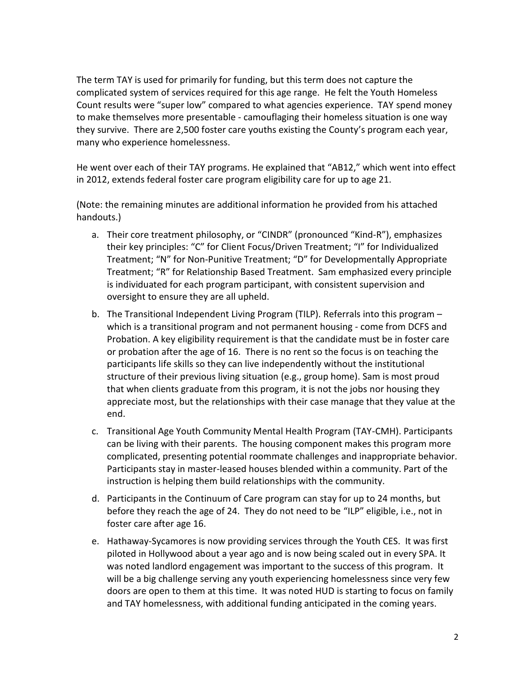The term TAY is used for primarily for funding, but this term does not capture the complicated system of services required for this age range. He felt the Youth Homeless Count results were "super low" compared to what agencies experience. TAY spend money to make themselves more presentable - camouflaging their homeless situation is one way they survive. There are 2,500 foster care youths existing the County's program each year, many who experience homelessness.

He went over each of their TAY programs. He explained that "AB12," which went into effect in 2012, extends federal foster care program eligibility care for up to age 21.

(Note: the remaining minutes are additional information he provided from his attached handouts.)

- a. Their core treatment philosophy, or "CINDR" (pronounced "Kind-R"), emphasizes their key principles: "C" for Client Focus/Driven Treatment; "I" for Individualized Treatment; "N" for Non-Punitive Treatment; "D" for Developmentally Appropriate Treatment; "R" for Relationship Based Treatment. Sam emphasized every principle is individuated for each program participant, with consistent supervision and oversight to ensure they are all upheld.
- b. The Transitional Independent Living Program (TILP). Referrals into this program which is a transitional program and not permanent housing - come from DCFS and Probation. A key eligibility requirement is that the candidate must be in foster care or probation after the age of 16. There is no rent so the focus is on teaching the participants life skills so they can live independently without the institutional structure of their previous living situation (e.g., group home). Sam is most proud that when clients graduate from this program, it is not the jobs nor housing they appreciate most, but the relationships with their case manage that they value at the end.
- c. Transitional Age Youth Community Mental Health Program (TAY-CMH). Participants can be living with their parents. The housing component makes this program more complicated, presenting potential roommate challenges and inappropriate behavior. Participants stay in master-leased houses blended within a community. Part of the instruction is helping them build relationships with the community.
- d. Participants in the Continuum of Care program can stay for up to 24 months, but before they reach the age of 24. They do not need to be "ILP" eligible, i.e., not in foster care after age 16.
- e. Hathaway-Sycamores is now providing services through the Youth CES. It was first piloted in Hollywood about a year ago and is now being scaled out in every SPA. It was noted landlord engagement was important to the success of this program. It will be a big challenge serving any youth experiencing homelessness since very few doors are open to them at this time. It was noted HUD is starting to focus on family and TAY homelessness, with additional funding anticipated in the coming years.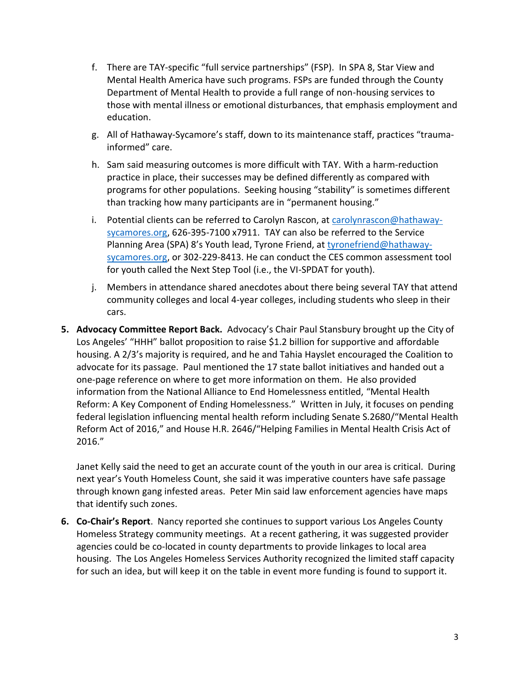- f. There are TAY-specific "full service partnerships" (FSP). In SPA 8, Star View and Mental Health America have such programs. FSPs are funded through the County Department of Mental Health to provide a full range of non-housing services to those with mental illness or emotional disturbances, that emphasis employment and education.
- g. All of Hathaway-Sycamore's staff, down to its maintenance staff, practices "traumainformed" care.
- h. Sam said measuring outcomes is more difficult with TAY. With a harm-reduction practice in place, their successes may be defined differently as compared with programs for other populations. Seeking housing "stability" is sometimes different than tracking how many participants are in "permanent housing."
- i. Potential clients can be referred to Carolyn Rascon, at [carolynrascon@hathaway](mailto:carolynrascon@hathaway-sycamores.org)[sycamores.org,](mailto:carolynrascon@hathaway-sycamores.org) 626-395-7100 x7911. TAY can also be referred to the Service Planning Area (SPA) 8's Youth lead, Tyrone Friend, at [tyronefriend@hathaway](mailto:tyronefriend@hathaway-sycamores.org)[sycamores.org,](mailto:tyronefriend@hathaway-sycamores.org) or 302-229-8413. He can conduct the CES common assessment tool for youth called the Next Step Tool (i.e., the VI-SPDAT for youth).
- j. Members in attendance shared anecdotes about there being several TAY that attend community colleges and local 4-year colleges, including students who sleep in their cars.
- **5. Advocacy Committee Report Back.** Advocacy's Chair Paul Stansbury brought up the City of Los Angeles' "HHH" ballot proposition to raise \$1.2 billion for supportive and affordable housing. A 2/3's majority is required, and he and Tahia Hayslet encouraged the Coalition to advocate for its passage. Paul mentioned the 17 state ballot initiatives and handed out a one-page reference on where to get more information on them. He also provided information from the National Alliance to End Homelessness entitled, "Mental Health Reform: A Key Component of Ending Homelessness." Written in July, it focuses on pending federal legislation influencing mental health reform including Senate S.2680/"Mental Health Reform Act of 2016," and House H.R. 2646/"Helping Families in Mental Health Crisis Act of 2016."

Janet Kelly said the need to get an accurate count of the youth in our area is critical. During next year's Youth Homeless Count, she said it was imperative counters have safe passage through known gang infested areas. Peter Min said law enforcement agencies have maps that identify such zones.

**6. Co-Chair's Report**. Nancy reported she continues to support various Los Angeles County Homeless Strategy community meetings. At a recent gathering, it was suggested provider agencies could be co-located in county departments to provide linkages to local area housing. The Los Angeles Homeless Services Authority recognized the limited staff capacity for such an idea, but will keep it on the table in event more funding is found to support it.